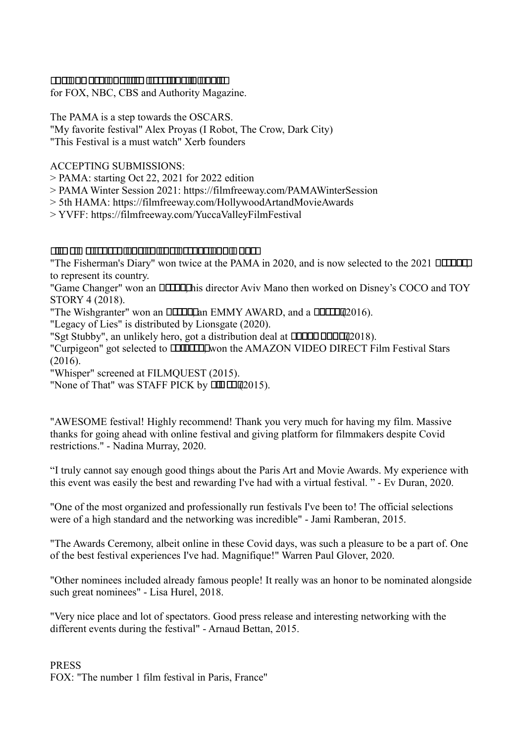### <u>ETATIOCA CITTAMERITUTTI MEETAMERITUTTIOOMA .</u>

for FOX, NBC, CBS and Authority Magazine.

The PAMA is a step towards the OSCARS. "My favorite festival" Alex Proyas (I Robot, The Crow, Dark City) "This Festival is a must watch" Xerb founders

### ACCEPTING SUBMISSIONS:

- > PAMA: starting Oct 22, 2021 for 2022 edition
- > PAMA Winter Session 2021: https://filmfreeway.com/PAMAWinterSession
- > 5th HAMA: https://filmfreeway.com/HollywoodArtandMovieAwards
- > YVFF: https://filmfreeway.com/YuccaValleyFilmFestival

#### الطاحات التناحا فالتلطاط للطاط التناظر التلطاط التنطيط التناطيسات التناطيط

"The Fisherman's Diary" won twice at the PAMA in 2020, and is now selected to the 2021 **HIMM** to represent its country.

"Game Changer" won an **HITHE** director Aviv Mano then worked on Disney's COCO and TOY STORY 4 (2018).

"The Wishgranter" won an **ELLEL** an EMMY AWARD, and a **ELLE** (2016).

"Legacy of Lies" is distributed by Lionsgate (2020).

"Sgt Stubby", an unlikely hero, got a distribution deal at **ELERT BULCO** 2018).

"Curpigeon" got selected to **ELLEC** won the AMAZON VIDEO DIRECT Film Festival Stars (2016).

"Whisper" screened at FILMQUEST (2015).

"None of That" was STAFF PICK by  $\square \square \square \square \square \square 2015$ ).

"AWESOME festival! Highly recommend! Thank you very much for having my film. Massive thanks for going ahead with online festival and giving platform for filmmakers despite Covid restrictions." - Nadina Murray, 2020.

"I truly cannot say enough good things about the Paris Art and Movie Awards. My experience with this event was easily the best and rewarding I've had with a virtual festival. " - Ev Duran, 2020.

"One of the most organized and professionally run festivals I've been to! The official selections were of a high standard and the networking was incredible" - Jami Ramberan, 2015.

"The Awards Ceremony, albeit online in these Covid days, was such a pleasure to be a part of. One of the best festival experiences I've had. Magnifique!" Warren Paul Glover, 2020.

"Other nominees included already famous people! It really was an honor to be nominated alongside such great nominees" - Lisa Hurel, 2018.

"Very nice place and lot of spectators. Good press release and interesting networking with the different events during the festival" - Arnaud Bettan, 2015.

PRESS FOX: "The number 1 film festival in Paris, France"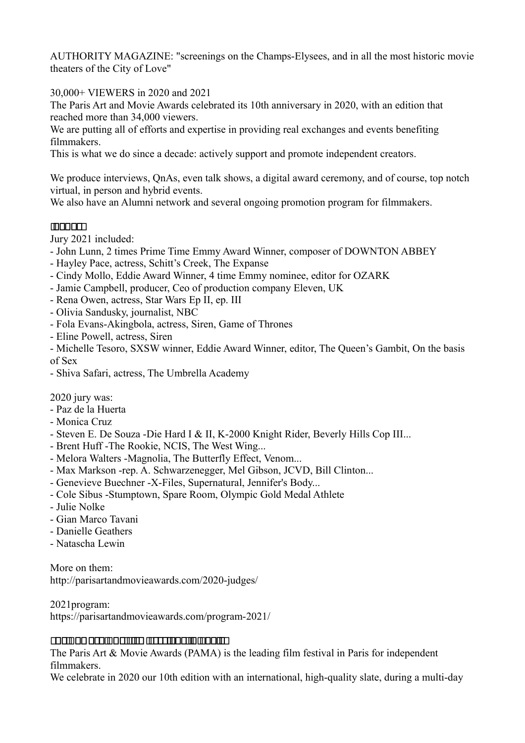AUTHORITY MAGAZINE: "screenings on the Champs-Elysees, and in all the most historic movie theaters of the City of Love"

30,000+ VIEWERS in 2020 and 2021

The Paris Art and Movie Awards celebrated its 10th anniversary in 2020, with an edition that reached more than 34,000 viewers.

We are putting all of efforts and expertise in providing real exchanges and events benefiting filmmakers.

This is what we do since a decade: actively support and promote independent creators.

We produce interviews, QnAs, even talk shows, a digital award ceremony, and of course, top notch virtual, in person and hybrid events.

We also have an Alumni network and several ongoing promotion program for filmmakers.

## **MODOCH**

Jury 2021 included:

- John Lunn, 2 times Prime Time Emmy Award Winner, composer of DOWNTON ABBEY
- Hayley Pace, actress, Schitt's Creek, The Expanse
- Cindy Mollo, Eddie Award Winner, 4 time Emmy nominee, editor for OZARK
- Jamie Campbell, producer, Ceo of production company Eleven, UK
- Rena Owen, actress, Star Wars Ep II, ep. III
- Olivia Sandusky, journalist, NBC
- Fola Evans-Akingbola, actress, Siren, Game of Thrones
- Eline Powell, actress, Siren

- Michelle Tesoro, SXSW winner, Eddie Award Winner, editor, The Queen's Gambit, On the basis of Sex

- Shiva Safari, actress, The Umbrella Academy

2020 jury was:

- Paz de la Huerta
- Monica Cruz
- Steven E. De Souza -Die Hard I & II, K-2000 Knight Rider, Beverly Hills Cop III...
- Brent Huff -The Rookie, NCIS, The West Wing...
- Melora Walters -Magnolia, The Butterfly Effect, Venom...
- Max Markson -rep. A. Schwarzenegger, Mel Gibson, JCVD, Bill Clinton...
- Genevieve Buechner -X-Files, Supernatural, Jennifer's Body...
- Cole Sibus -Stumptown, Spare Room, Olympic Gold Medal Athlete
- Julie Nolke
- Gian Marco Tavani
- Danielle Geathers
- Natascha Lewin

More on them: http://parisartandmovieawards.com/2020-judges/

2021program: https://parisartandmovieawards.com/program-2021/

### 

The Paris Art & Movie Awards (PAMA) is the leading film festival in Paris for independent filmmakers.

We celebrate in 2020 our 10th edition with an international, high-quality slate, during a multi-day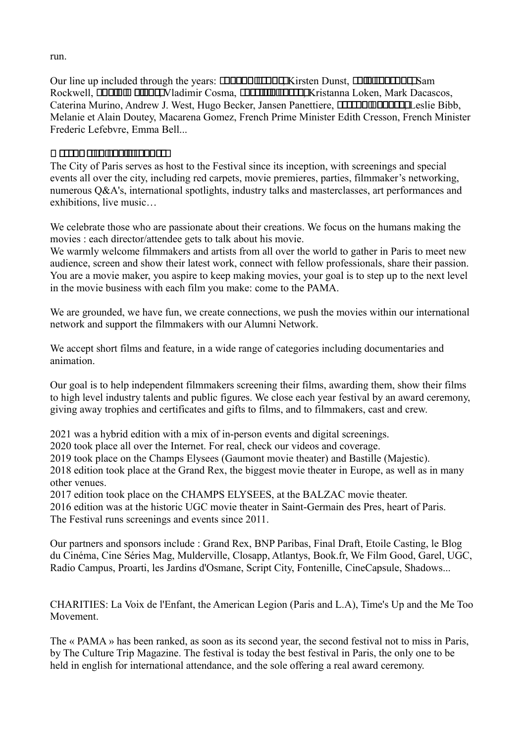run.

Our line up included through the years: **INNOCITAL EXAM** Exten Dunst, **INNOCITAL EXAM** Sam Rockwell, **ULLE HELLE**WIadimir Cosma, **HELLE HELLE Kristanna Loken**, Mark Dacascos, Caterina Murino, Andrew J. West, Hugo Becker, Jansen Panettiere, **HILE ELE DE LESSEE Bibb,** Melanie et Alain Doutey, Macarena Gomez, French Prime Minister Edith Cresson, French Minister Frederic Lefebvre, Emma Bell...

## 

The City of Paris serves as host to the Festival since its inception, with screenings and special events all over the city, including red carpets, movie premieres, parties, filmmaker's networking, numerous Q&A's, international spotlights, industry talks and masterclasses, art performances and exhibitions, live music…

We celebrate those who are passionate about their creations. We focus on the humans making the movies : each director/attendee gets to talk about his movie.

We warmly welcome filmmakers and artists from all over the world to gather in Paris to meet new audience, screen and show their latest work, connect with fellow professionals, share their passion. You are a movie maker, you aspire to keep making movies, your goal is to step up to the next level in the movie business with each film you make: come to the PAMA.

We are grounded, we have fun, we create connections, we push the movies within our international network and support the filmmakers with our Alumni Network.

We accept short films and feature, in a wide range of categories including documentaries and animation.

Our goal is to help independent filmmakers screening their films, awarding them, show their films to high level industry talents and public figures. We close each year festival by an award ceremony, giving away trophies and certificates and gifts to films, and to filmmakers, cast and crew.

2021 was a hybrid edition with a mix of in-person events and digital screenings.

2020 took place all over the Internet. For real, check our videos and coverage.

2019 took place on the Champs Elysees (Gaumont movie theater) and Bastille (Majestic).

2018 edition took place at the Grand Rex, the biggest movie theater in Europe, as well as in many other venues.

2017 edition took place on the CHAMPS ELYSEES, at the BALZAC movie theater.

2016 edition was at the historic UGC movie theater in Saint-Germain des Pres, heart of Paris. The Festival runs screenings and events since 2011.

Our partners and sponsors include : Grand Rex, BNP Paribas, Final Draft, Etoile Casting, le Blog du Cinéma, Cine Séries Mag, Mulderville, Closapp, Atlantys, Book.fr, We Film Good, Garel, UGC, Radio Campus, Proarti, les Jardins d'Osmane, Script City, Fontenille, CineCapsule, Shadows...

CHARITIES: La Voix de l'Enfant, the American Legion (Paris and L.A), Time's Up and the Me Too Movement.

The « PAMA » has been ranked, as soon as its second year, the second festival not to miss in Paris, by The Culture Trip Magazine. The festival is today the best festival in Paris, the only one to be held in english for international attendance, and the sole offering a real award ceremony.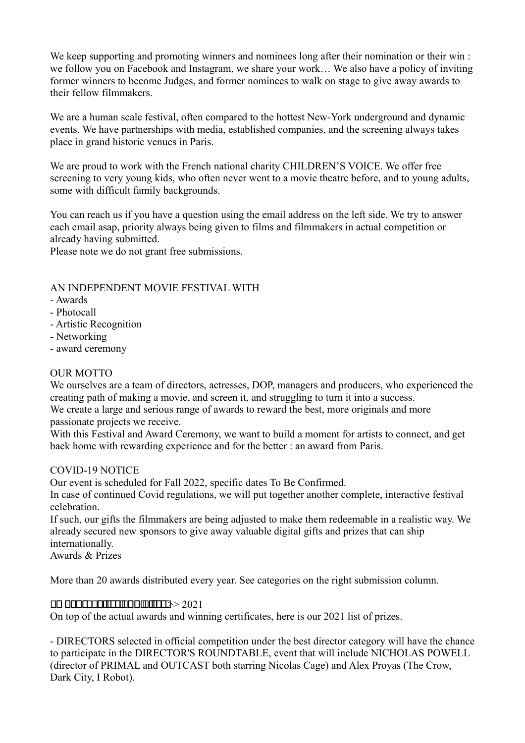We keep supporting and promoting winners and nominees long after their nomination or their win : we follow you on Facebook and Instagram, we share your work… We also have a policy of inviting former winners to become Judges, and former nominees to walk on stage to give away awards to their fellow filmmakers.

We are a human scale festival, often compared to the hottest New-York underground and dynamic events. We have partnerships with media, established companies, and the screening always takes place in grand historic venues in Paris.

We are proud to work with the French national charity CHILDREN'S VOICE. We offer free screening to very young kids, who often never went to a movie theatre before, and to young adults, some with difficult family backgrounds.

You can reach us if you have a question using the email address on the left side. We try to answer each email asap, priority always being given to films and filmmakers in actual competition or already having submitted.

Please note we do not grant free submissions.

## AN INDEPENDENT MOVIE FESTIVAL WITH

- Awards
- Photocall
- Artistic Recognition
- Networking
- award ceremony

### OUR MOTTO

We ourselves are a team of directors, actresses, DOP, managers and producers, who experienced the creating path of making a movie, and screen it, and struggling to turn it into a success.

We create a large and serious range of awards to reward the best, more originals and more passionate projects we receive.

With this Festival and Award Ceremony, we want to build a moment for artists to connect, and get back home with rewarding experience and for the better : an award from Paris.

#### COVID-19 NOTICE

Our event is scheduled for Fall 2022, specific dates To Be Confirmed.

In case of continued Covid regulations, we will put together another complete, interactive festival celebration.

If such, our gifts the filmmakers are being adjusted to make them redeemable in a realistic way. We already secured new sponsors to give away valuable digital gifts and prizes that can ship internationally.

Awards & Prizes

More than 20 awards distributed every year. See categories on the right submission column.

### $\Box$

On top of the actual awards and winning certificates, here is our 2021 list of prizes.

- DIRECTORS selected in official competition under the best director category will have the chance to participate in the DIRECTOR'S ROUNDTABLE, event that will include NICHOLAS POWELL (director of PRIMAL and OUTCAST both starring Nicolas Cage) and Alex Proyas (The Crow, Dark City, I Robot).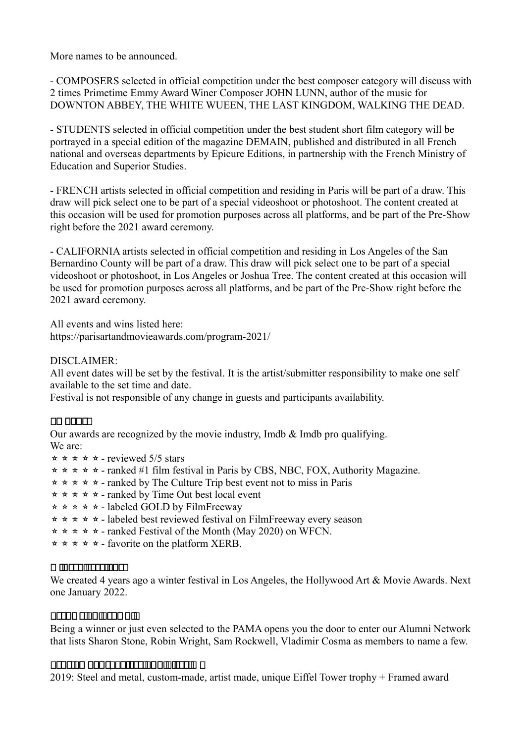More names to be announced.

- COMPOSERS selected in official competition under the best composer category will discuss with 2 times Primetime Emmy Award Winer Composer JOHN LUNN, author of the music for DOWNTON ABBEY, THE WHITE WUEEN, THE LAST KINGDOM, WALKING THE DEAD.

- STUDENTS selected in official competition under the best student short film category will be portrayed in a special edition of the magazine DEMAIN, published and distributed in all French national and overseas departments by Epicure Editions, in partnership with the French Ministry of Education and Superior Studies.

- FRENCH artists selected in official competition and residing in Paris will be part of a draw. This draw will pick select one to be part of a special videoshoot or photoshoot. The content created at this occasion will be used for promotion purposes across all platforms, and be part of the Pre-Show right before the 2021 award ceremony.

- CALIFORNIA artists selected in official competition and residing in Los Angeles of the San Bernardino County will be part of a draw. This draw will pick select one to be part of a special videoshoot or photoshoot, in Los Angeles or Joshua Tree. The content created at this occasion will be used for promotion purposes across all platforms, and be part of the Pre-Show right before the 2021 award ceremony.

All events and wins listed here:

https://parisartandmovieawards.com/program-2021/

DISCLAIMER:

All event dates will be set by the festival. It is the artist/submitter responsibility to make one self available to the set time and date.

Festival is not responsible of any change in guests and participants availability.

### na anami

Our awards are recognized by the movie industry, Imdb & Imdb pro qualifying. We are:

- $\star \star \star \star \star$  reviewed 5/5 stars
- $\star \star \star \star \star$  ranked #1 film festival in Paris by CBS, NBC, FOX, Authority Magazine.
- ⭐⭐⭐⭐⭐ ranked by The Culture Trip best event not to miss in Paris
- **★ ★ ★ ★ ranked by Time Out best local event**
- **★ ★ ★ ★ labeled GOLD by FilmFreeway**
- ⭐⭐⭐⭐⭐ labeled best reviewed festival on FilmFreeway every season
- $\star \star \star \star \star$  ranked Festival of the Month (May 2020) on WFCN.
- **★ ★ ★ ★ favorite on the platform XERB.**

#### $\Box$  and the second theory

We created 4 years ago a winter festival in Los Angeles, the Hollywood Art & Movie Awards. Next one January 2022.

#### 00000000000000

Being a winner or just even selected to the PAMA opens you the door to enter our Alumni Network that lists Sharon Stone, Robin Wright, Sam Rockwell, Vladimir Cosma as members to name a few.

#### 000000 00000000000000000000 0

2019: Steel and metal, custom-made, artist made, unique Eiffel Tower trophy + Framed award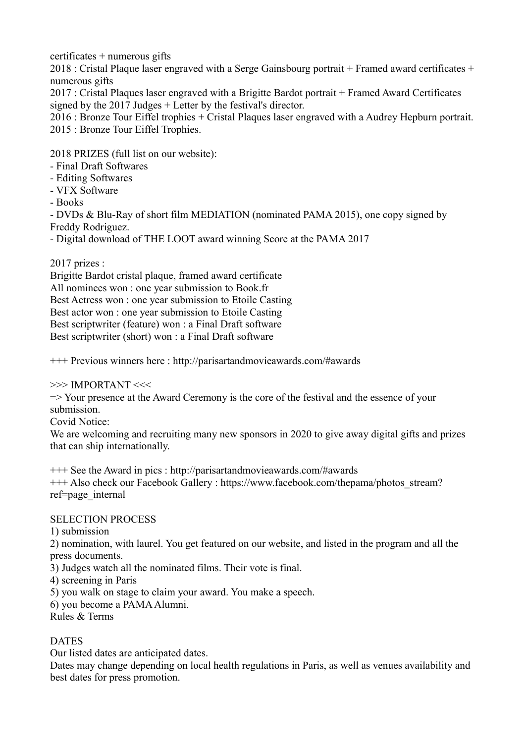certificates + numerous gifts

2018 : Cristal Plaque laser engraved with a Serge Gainsbourg portrait + Framed award certificates + numerous gifts

2017 : Cristal Plaques laser engraved with a Brigitte Bardot portrait + Framed Award Certificates signed by the 2017 Judges + Letter by the festival's director.

2016 : Bronze Tour Eiffel trophies + Cristal Plaques laser engraved with a Audrey Hepburn portrait. 2015 : Bronze Tour Eiffel Trophies.

2018 PRIZES (full list on our website):

- Final Draft Softwares
- Editing Softwares
- VFX Software
- Books

- DVDs & Blu-Ray of short film MEDIATION (nominated PAMA 2015), one copy signed by Freddy Rodriguez.

- Digital download of THE LOOT award winning Score at the PAMA 2017

2017 prizes :

Brigitte Bardot cristal plaque, framed award certificate All nominees won : one year submission to Book.fr Best Actress won : one year submission to Etoile Casting Best actor won : one year submission to Etoile Casting Best scriptwriter (feature) won : a Final Draft software Best scriptwriter (short) won : a Final Draft software

+++ Previous winners here : http://parisartandmovieawards.com/#awards

>>> IMPORTANT <<<

=> Your presence at the Award Ceremony is the core of the festival and the essence of your submission.

Covid Notice:

We are welcoming and recruiting many new sponsors in 2020 to give away digital gifts and prizes that can ship internationally.

+++ See the Award in pics : http://parisartandmovieawards.com/#awards +++ Also check our Facebook Gallery : https://www.facebook.com/thepama/photos\_stream? ref=page\_internal

## SELECTION PROCESS

1) submission

2) nomination, with laurel. You get featured on our website, and listed in the program and all the press documents.

3) Judges watch all the nominated films. Their vote is final.

4) screening in Paris

5) you walk on stage to claim your award. You make a speech.

6) you become a PAMA Alumni.

Rules & Terms

# DATES

Our listed dates are anticipated dates.

Dates may change depending on local health regulations in Paris, as well as venues availability and best dates for press promotion.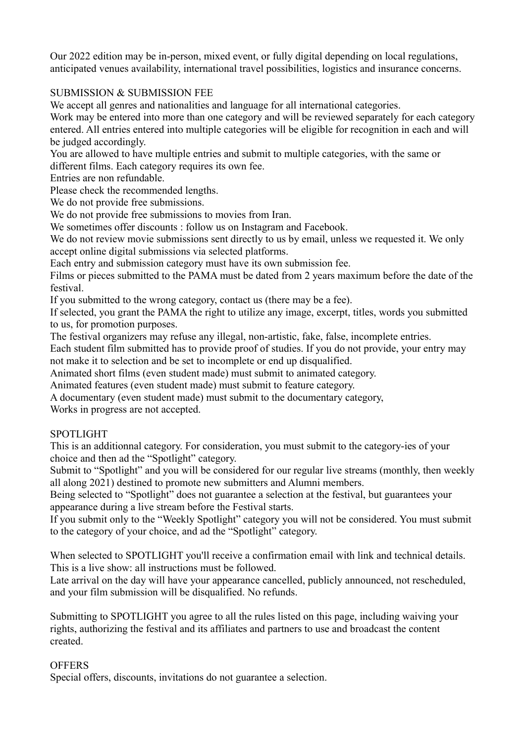Our 2022 edition may be in-person, mixed event, or fully digital depending on local regulations, anticipated venues availability, international travel possibilities, logistics and insurance concerns.

### SUBMISSION & SUBMISSION FEE

We accept all genres and nationalities and language for all international categories.

Work may be entered into more than one category and will be reviewed separately for each category entered. All entries entered into multiple categories will be eligible for recognition in each and will be judged accordingly.

You are allowed to have multiple entries and submit to multiple categories, with the same or different films. Each category requires its own fee.

Entries are non refundable.

Please check the recommended lengths.

We do not provide free submissions.

We do not provide free submissions to movies from Iran.

We sometimes offer discounts : follow us on Instagram and Facebook.

We do not review movie submissions sent directly to us by email, unless we requested it. We only accept online digital submissions via selected platforms.

Each entry and submission category must have its own submission fee.

Films or pieces submitted to the PAMA must be dated from 2 years maximum before the date of the festival.

If you submitted to the wrong category, contact us (there may be a fee).

If selected, you grant the PAMA the right to utilize any image, excerpt, titles, words you submitted to us, for promotion purposes.

The festival organizers may refuse any illegal, non-artistic, fake, false, incomplete entries.

Each student film submitted has to provide proof of studies. If you do not provide, your entry may not make it to selection and be set to incomplete or end up disqualified.

Animated short films (even student made) must submit to animated category.

Animated features (even student made) must submit to feature category.

A documentary (even student made) must submit to the documentary category,

Works in progress are not accepted.

#### **SPOTLIGHT**

This is an additionnal category. For consideration, you must submit to the category-ies of your choice and then ad the "Spotlight" category.

Submit to "Spotlight" and you will be considered for our regular live streams (monthly, then weekly all along 2021) destined to promote new submitters and Alumni members.

Being selected to "Spotlight" does not guarantee a selection at the festival, but guarantees your appearance during a live stream before the Festival starts.

If you submit only to the "Weekly Spotlight" category you will not be considered. You must submit to the category of your choice, and ad the "Spotlight" category.

When selected to SPOTLIGHT you'll receive a confirmation email with link and technical details. This is a live show: all instructions must be followed.

Late arrival on the day will have your appearance cancelled, publicly announced, not rescheduled, and your film submission will be disqualified. No refunds.

Submitting to SPOTLIGHT you agree to all the rules listed on this page, including waiving your rights, authorizing the festival and its affiliates and partners to use and broadcast the content created.

#### **OFFERS**

Special offers, discounts, invitations do not guarantee a selection.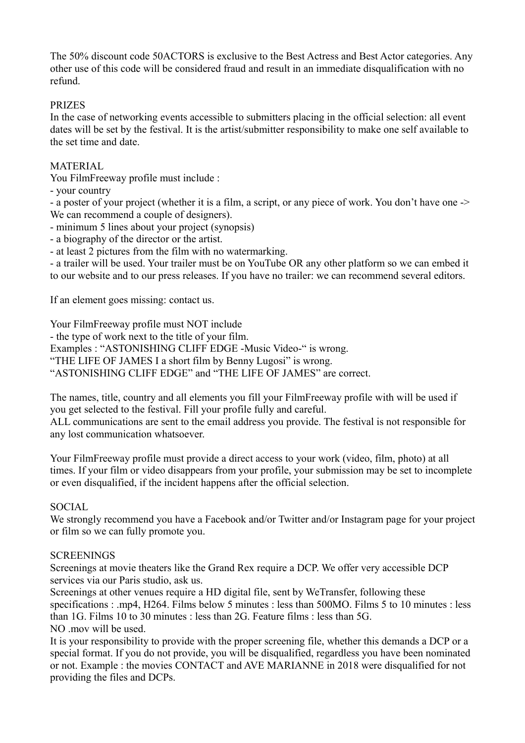The 50% discount code 50ACTORS is exclusive to the Best Actress and Best Actor categories. Any other use of this code will be considered fraud and result in an immediate disqualification with no refund.

### PRIZES

In the case of networking events accessible to submitters placing in the official selection: all event dates will be set by the festival. It is the artist/submitter responsibility to make one self available to the set time and date.

### MATERIAL

You FilmFreeway profile must include :

- your country

- a poster of your project (whether it is a film, a script, or any piece of work. You don't have one -> We can recommend a couple of designers).

- minimum 5 lines about your project (synopsis)

- a biography of the director or the artist.

- at least 2 pictures from the film with no watermarking.

- a trailer will be used. Your trailer must be on YouTube OR any other platform so we can embed it to our website and to our press releases. If you have no trailer: we can recommend several editors.

If an element goes missing: contact us.

Your FilmFreeway profile must NOT include

- the type of work next to the title of your film.

Examples : "ASTONISHING CLIFF EDGE -Music Video-" is wrong.

"THE LIFE OF JAMES I a short film by Benny Lugosi" is wrong.

"ASTONISHING CLIFF EDGE" and "THE LIFE OF JAMES" are correct.

The names, title, country and all elements you fill your FilmFreeway profile with will be used if you get selected to the festival. Fill your profile fully and careful.

ALL communications are sent to the email address you provide. The festival is not responsible for any lost communication whatsoever.

Your FilmFreeway profile must provide a direct access to your work (video, film, photo) at all times. If your film or video disappears from your profile, your submission may be set to incomplete or even disqualified, if the incident happens after the official selection.

#### SOCIAL

We strongly recommend you have a Facebook and/or Twitter and/or Instagram page for your project or film so we can fully promote you.

#### SCREENINGS

Screenings at movie theaters like the Grand Rex require a DCP. We offer very accessible DCP services via our Paris studio, ask us.

Screenings at other venues require a HD digital file, sent by WeTransfer, following these specifications : .mp4, H264. Films below 5 minutes : less than 500MO. Films 5 to 10 minutes : less than 1G. Films 10 to 30 minutes : less than 2G. Feature films : less than 5G. NO .mov will be used.

It is your responsibility to provide with the proper screening file, whether this demands a DCP or a special format. If you do not provide, you will be disqualified, regardless you have been nominated or not. Example : the movies CONTACT and AVE MARIANNE in 2018 were disqualified for not providing the files and DCPs.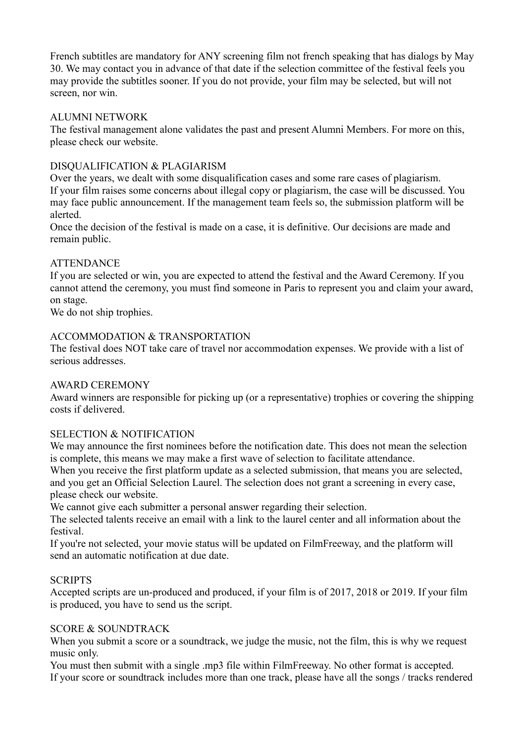French subtitles are mandatory for ANY screening film not french speaking that has dialogs by May 30. We may contact you in advance of that date if the selection committee of the festival feels you may provide the subtitles sooner. If you do not provide, your film may be selected, but will not screen, nor win.

### ALUMNI NETWORK

The festival management alone validates the past and present Alumni Members. For more on this, please check our website.

## DISQUALIFICATION & PLAGIARISM

Over the years, we dealt with some disqualification cases and some rare cases of plagiarism. If your film raises some concerns about illegal copy or plagiarism, the case will be discussed. You may face public announcement. If the management team feels so, the submission platform will be alerted.

Once the decision of the festival is made on a case, it is definitive. Our decisions are made and remain public.

## ATTENDANCE

If you are selected or win, you are expected to attend the festival and the Award Ceremony. If you cannot attend the ceremony, you must find someone in Paris to represent you and claim your award, on stage.

We do not ship trophies.

## ACCOMMODATION & TRANSPORTATION

The festival does NOT take care of travel nor accommodation expenses. We provide with a list of serious addresses.

## AWARD CEREMONY

Award winners are responsible for picking up (or a representative) trophies or covering the shipping costs if delivered.

## SELECTION & NOTIFICATION

We may announce the first nominees before the notification date. This does not mean the selection is complete, this means we may make a first wave of selection to facilitate attendance.

When you receive the first platform update as a selected submission, that means you are selected, and you get an Official Selection Laurel. The selection does not grant a screening in every case, please check our website.

We cannot give each submitter a personal answer regarding their selection.

The selected talents receive an email with a link to the laurel center and all information about the festival.

If you're not selected, your movie status will be updated on FilmFreeway, and the platform will send an automatic notification at due date.

## **SCRIPTS**

Accepted scripts are un-produced and produced, if your film is of 2017, 2018 or 2019. If your film is produced, you have to send us the script.

## SCORE & SOUNDTRACK

When you submit a score or a soundtrack, we judge the music, not the film, this is why we request music only.

You must then submit with a single .mp3 file within FilmFreeway. No other format is accepted. If your score or soundtrack includes more than one track, please have all the songs / tracks rendered